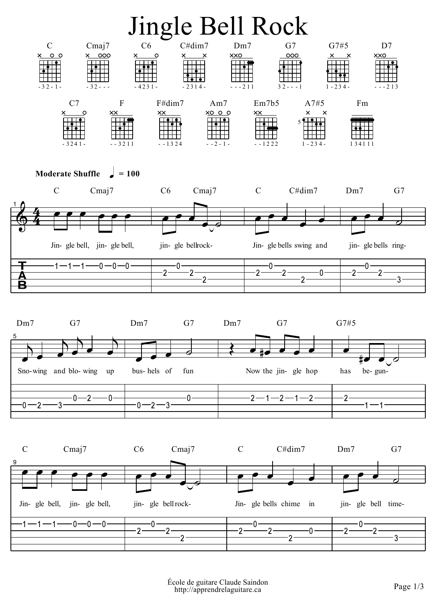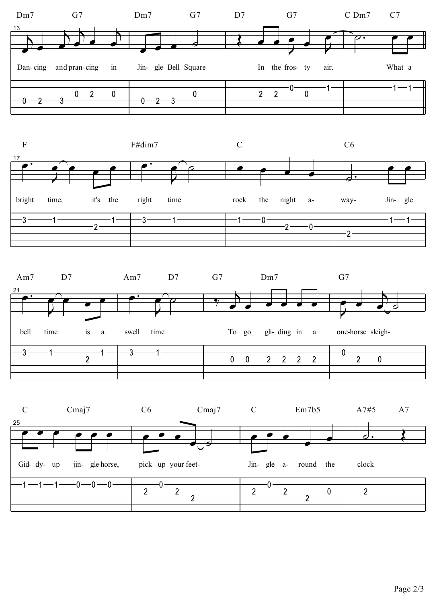![](_page_1_Figure_0.jpeg)

Page 2/3